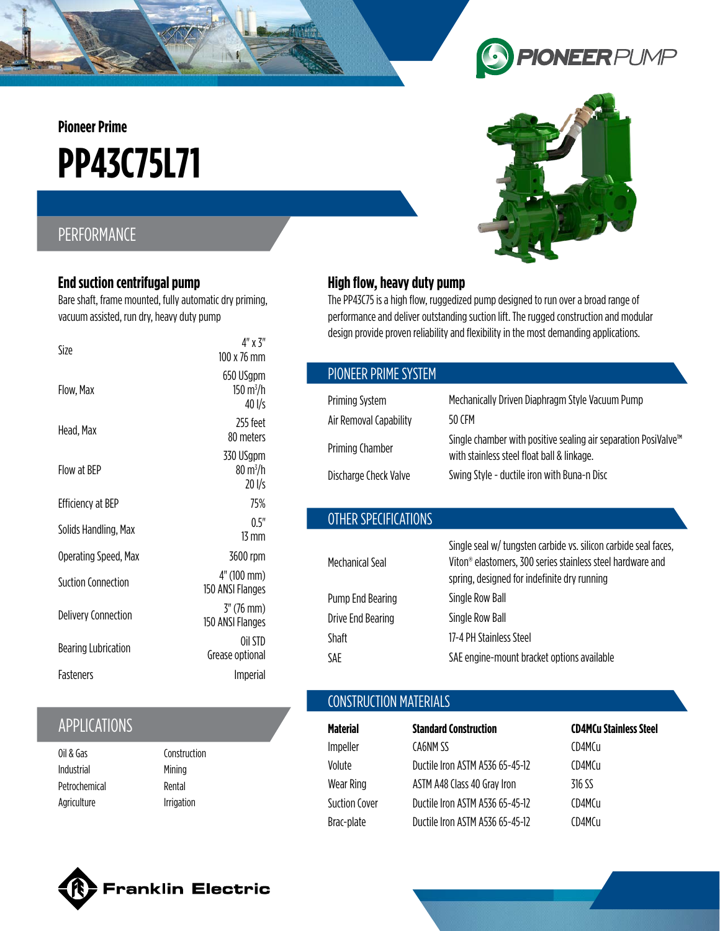**Pioneer Prime**

# **PP43C75L71**

# PERFORMANCE

#### **End suction centrifugal pump**

Bare shaft, frame mounted, fully automatic dry priming, vacuum assisted, run dry, heavy duty pump

| Size                       | $4"$ x $3"$<br>100 x 76 mm                           |
|----------------------------|------------------------------------------------------|
| Flow, Max                  | 650 USgpm<br>$150 \text{ m}^3/\text{h}$<br>40 l/s    |
| Head, Max                  | 755 feet<br>80 meters                                |
| Flow at BFP                | 330 USgpm<br>$80 \,\mathrm{m}^3/\mathrm{h}$<br>201/s |
| Efficiency at BEP          | 75%                                                  |
| Solids Handling, Max       | 0.5"<br>$13 \text{ mm}$                              |
| Operating Speed, Max       | 3600 rpm                                             |
| <b>Suction Connection</b>  | 4" (100 mm)<br>150 ANSI Flanges                      |
| <b>Delivery Connection</b> | $3''(76 \text{ mm})$<br>150 ANSI Flanges             |
| <b>Bearing Lubrication</b> | Oil STD<br>Grease optional                           |
| <b>Fasteners</b>           | Imperial                                             |

# APPLICATIONS

| Oil & Gas     |  |
|---------------|--|
| Industrial    |  |
| Petrochemical |  |
| Agriculture   |  |

Construction **Mining** Rental Irrigation





#### **High flow, heavy duty pump**

The PP43C75 is a high flow, ruggedized pump designed to run over a broad range of performance and deliver outstanding suction lift. The rugged construction and modular design provide proven reliability and flexibility in the most demanding applications.

| PIONEER PRIME SYSTEM |
|----------------------|
|----------------------|

| Priming System         | Mechanically Driven Diaphragm Style Vacuum Pump                                                                          |
|------------------------|--------------------------------------------------------------------------------------------------------------------------|
| Air Removal Capability | 50 CFM                                                                                                                   |
| Priming Chamber        | Single chamber with positive sealing air separation PosiValve <sup>™</sup><br>with stainless steel float ball & linkage. |
| Discharge Check Valve  | Swing Style - ductile iron with Buna-n Disc                                                                              |
|                        |                                                                                                                          |

## OTHER SPECIFICATIONS

|                   | Single seal w/ tungsten carbide vs. silicon carbide seal faces,        |
|-------------------|------------------------------------------------------------------------|
| Mechanical Seal   | Viton <sup>®</sup> elastomers, 300 series stainless steel hardware and |
|                   | spring, designed for indefinite dry running                            |
| Pump End Bearing  | Single Row Ball                                                        |
| Drive End Bearing | Single Row Ball                                                        |
| <b>Shaft</b>      | 17-4 PH Stainless Steel                                                |
| SAE               | SAE engine-mount bracket options available                             |

## CONSTRUCTION MATERIALS

| <b>Material</b>      | <b>Standard Construction</b>    | <b>CD4MCu Stainless Steel</b> |
|----------------------|---------------------------------|-------------------------------|
| Impeller             | CA6NM SS                        | CD4MCu                        |
| Volute               | Ductile Iron ASTM A536 65-45-12 | CD4MCu                        |
| Wear Ring            | ASTM A48 Class 40 Gray Iron     | 316 SS                        |
| <b>Suction Cover</b> | Ductile Iron ASTM A536 65-45-12 | CD4MCu                        |
| Brac-plate           | Ductile Iron ASTM A536 65-45-12 | CD4MCu                        |